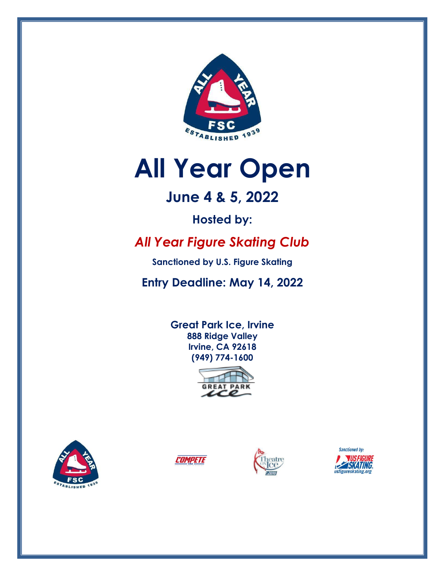

# **All Year Open**

# **June 4 & 5, 2022**

**Hosted by:** 

# *All Year Figure Skating Club*

**Sanctioned by U.S. Figure Skating**

**Entry Deadline: May 14, 2022**

**Great Park Ice, Irvine 888 Ridge Valley Irvine, CA 92618 (949) 774-1600**









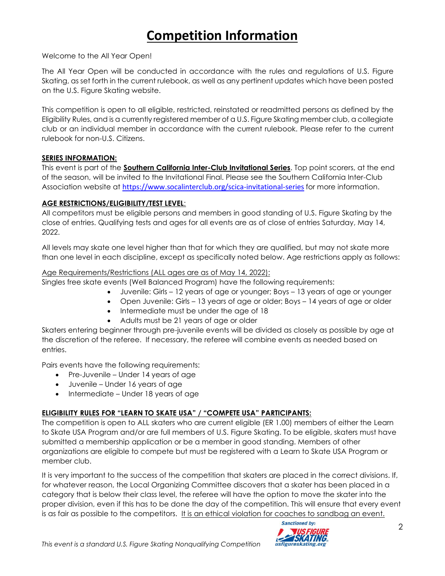# **Competition Information**

#### Welcome to the All Year Open!

The All Year Open will be conducted in accordance with the rules and regulations of U.S. Figure Skating, as set forth in the current rulebook, as well as any pertinent updates which have been posted on the U.S. Figure Skating website.

This competition is open to all eligible, restricted, reinstated or readmitted persons as defined by the Eligibility Rules, and is a currently registered member of a U.S. Figure Skating member club, a collegiate club or an individual member in accordance with the current rulebook. Please refer to the current rulebook for non-U.S. Citizens.

#### **SERIES INFORMATION:**

This event is part of the **Southern California Inter-Club Invitational Series**. Top point scorers, at the end of the season, will be invited to the Invitational Final. Please see the Southern California Inter-Club Association website at <https://www.socalinterclub.org/scica-invitational-series> for more information.

#### **AGE RESTRICTIONS/ELIGIBILITY/TEST LEVEL**:

All competitors must be eligible persons and members in good standing of U.S. Figure Skating by the close of entries. Qualifying tests and ages for all events are as of close of entries Saturday, May 14, 2022.

All levels may skate one level higher than that for which they are qualified, but may not skate more than one level in each discipline, except as specifically noted below. Age restrictions apply as follows:

#### Age Requirements/Restrictions (ALL ages are as of May 14, 2022):

Singles free skate events (Well Balanced Program) have the following requirements:

- Juvenile: Girls 12 years of age or younger; Boys 13 years of age or younger
- Open Juvenile: Girls 13 years of age or older; Boys 14 years of age or older
- Intermediate must be under the age of 18
- Adults must be 21 years of age or older

Skaters entering beginner through pre-juvenile events will be divided as closely as possible by age at the discretion of the referee. If necessary, the referee will combine events as needed based on entries.

Pairs events have the following requirements:

- Pre-Juvenile Under 14 years of age
- Juvenile Under 16 years of age
- Intermediate Under 18 years of age

#### **ELIGIBILITY RULES FOR "LEARN TO SKATE USA" / "COMPETE USA" PARTICIPANTS:**

The competition is open to ALL skaters who are current eligible (ER 1.00) members of either the Learn to Skate USA Program and/or are full members of U.S. Figure Skating. To be eligible, skaters must have submitted a membership application or be a member in good standing. Members of other organizations are eligible to compete but must be registered with a Learn to Skate USA Program or member club.

It is very important to the success of the competition that skaters are placed in the correct divisions. If, for whatever reason, the Local Organizing Committee discovers that a skater has been placed in a category that is below their class level, the referee will have the option to move the skater into the proper division, even if this has to be done the day of the competition. This will ensure that every event is as fair as possible to the competitors. It is an ethical violation for coaches to sandbag an event.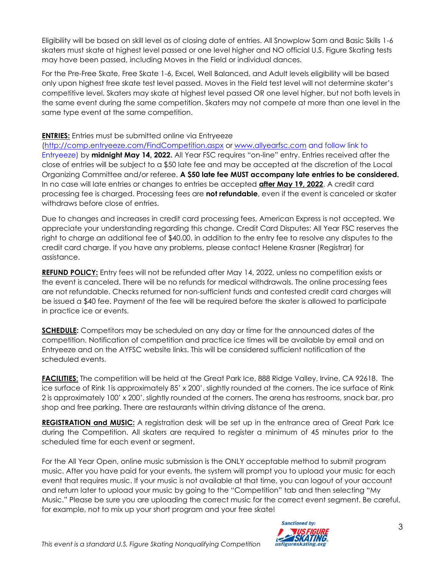Eligibility will be based on skill level as of closing date of entries. All Snowplow Sam and Basic Skills 1-6 skaters must skate at highest level passed or one level higher and NO official U.S. Figure Skating tests may have been passed, including Moves in the Field or individual dances.

For the Pre-Free Skate, Free Skate 1-6, Excel, Well Balanced, and Adult levels eligibility will be based only upon highest free skate test level passed. Moves in the Field test level will not determine skater's competitive level. Skaters may skate at highest level passed OR one level higher, but not both levels in the same event during the same competition. Skaters may not compete at more than one level in the same type event at the same competition.

# **ENTRIES:** Entries must be submitted online via Entryeeze

[\(http://comp.entryeeze.com/FindCompetition.aspx](http://comp.entryeeze.com/FindCompetition.aspx) or [www.allyearfsc.com](http://www.allyearfsc.com/) and follow link to Entryeeze) by **midnight May 14, 2022.** All Year FSC requires "on-line" entry. Entries received after the close of entries will be subject to a \$50 late fee and may be accepted at the discretion of the Local Organizing Committee and/or referee. **A \$50 late fee MUST accompany late entries to be considered.** In no case will late entries or changes to entries be accepted **after May 19, 2022**. A credit card processing fee is charged. Processing fees are **not refundable**, even if the event is canceled or skater withdraws before close of entries.

Due to changes and increases in credit card processing fees, American Express is not accepted. We appreciate your understanding regarding this change. Credit Card Disputes: All Year FSC reserves the right to charge an additional fee of \$40.00, in addition to the entry fee to resolve any disputes to the credit card charge. If you have any problems, please contact Helene Krasner (Registrar) for assistance.

**REFUND POLICY:** Entry fees will not be refunded after May 14, 2022, unless no competition exists or the event is canceled. There will be no refunds for medical withdrawals. The online processing fees are not refundable. Checks returned for non-sufficient funds and contested credit card charges will be issued a \$40 fee. Payment of the fee will be required before the skater is allowed to participate in practice ice or events.

**SCHEDULE:** Competitors may be scheduled on any day or time for the announced dates of the competition. Notification of competition and practice ice times will be available by email and on Entryeeze and on the AYFSC website links. This will be considered sufficient notification of the scheduled events.

**FACILITIES:** The competition will be held at the Great Park Ice, 888 Ridge Valley, Irvine, CA 92618. The ice surface of Rink 1is approximately 85' x 200', slightly rounded at the corners. The ice surface of Rink 2 is approximately 100' x 200', slightly rounded at the corners. The arena has restrooms, snack bar, pro shop and free parking. There are restaurants within driving distance of the arena.

**REGISTRATION and MUSIC:** A registration desk will be set up in the entrance area of Great Park Ice during the Competition. All skaters are required to register a minimum of 45 minutes prior to the scheduled time for each event or segment.

For the All Year Open, online music submission is the ONLY acceptable method to submit program music. After you have paid for your events, the system will prompt you to upload your music for each event that requires music. If your music is not available at that time, you can logout of your account and return later to upload your music by going to the "Competition" tab and then selecting "My Music." Please be sure you are uploading the correct music for the correct event segment. Be careful, for example, not to mix up your short program and your free skate!

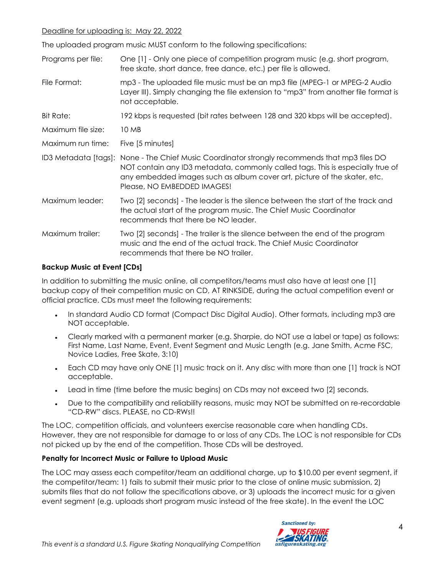#### Deadline for uploading is: May 22, 2022

The uploaded program music MUST conform to the following specifications:

| Programs per file: | One [1] - Only one piece of competition program music (e.g. short program,<br>free skate, short dance, free dance, etc.) per file is allowed.                                                                                                                                              |
|--------------------|--------------------------------------------------------------------------------------------------------------------------------------------------------------------------------------------------------------------------------------------------------------------------------------------|
| File Format:       | mp3 - The uploaded file music must be an mp3 file (MPEG-1 or MPEG-2 Audio<br>Layer III). Simply changing the file extension to "mp3" from another file format is<br>not acceptable.                                                                                                        |
| Bit Rate:          | 192 kbps is requested (bit rates between 128 and 320 kbps will be accepted).                                                                                                                                                                                                               |
| Maximum file size: | 10 MB                                                                                                                                                                                                                                                                                      |
| Maximum run time:  | Five [5 minutes]                                                                                                                                                                                                                                                                           |
|                    | ID3 Metadata [tags]: None - The Chief Music Coordinator strongly recommends that mp3 files DO<br>NOT contain any ID3 metadata, commonly called tags. This is especially true of<br>any embedded images such as album cover art, picture of the skater, etc.<br>Please, NO EMBEDDED IMAGES! |
| Maximum leader:    | Two [2] seconds] - The leader is the silence between the start of the track and<br>the actual start of the program music. The Chief Music Coordinator<br>recommends that there be NO leader.                                                                                               |
| Maximum trailer:   | Two [2] seconds] - The trailer is the silence between the end of the program<br>music and the end of the actual track. The Chief Music Coordinator<br>recommends that there be NO trailer.                                                                                                 |

#### **Backup Music at Event [CDs]**

In addition to submitting the music online, all competitors/teams must also have at least one [1] backup copy of their competition music on CD, AT RINKSIDE, during the actual competition event or official practice. CDs must meet the following requirements:

- In standard Audio CD format (Compact Disc Digital Audio). Other formats, including mp3 are NOT acceptable.
- Clearly marked with a permanent marker (e.g. Sharpie, do NOT use a label or tape) as follows: First Name, Last Name, Event, Event Segment and Music Length (e.g. Jane Smith, Acme FSC, Novice Ladies, Free Skate, 3:10)
- Each CD may have only ONE [1] music track on it. Any disc with more than one [1] track is NOT acceptable.
- Lead in time (time before the music begins) on CDs may not exceed two [2] seconds.
- Due to the compatibility and reliability reasons, music may NOT be submitted on re-recordable "CD-RW" discs. PLEASE, no CD-RWs!!

The LOC, competition officials, and volunteers exercise reasonable care when handling CDs. However, they are not responsible for damage to or loss of any CDs. The LOC is not responsible for CDs not picked up by the end of the competition. Those CDs will be destroyed.

#### **Penalty for Incorrect Music or Failure to Upload Music**

The LOC may assess each competitor/team an additional charge, up to \$10.00 per event segment, if the competitor/team: 1) fails to submit their music prior to the close of online music submission, 2) submits files that do not follow the specifications above, or 3) uploads the incorrect music for a given event segment (e.g. uploads short program music instead of the free skate). In the event the LOC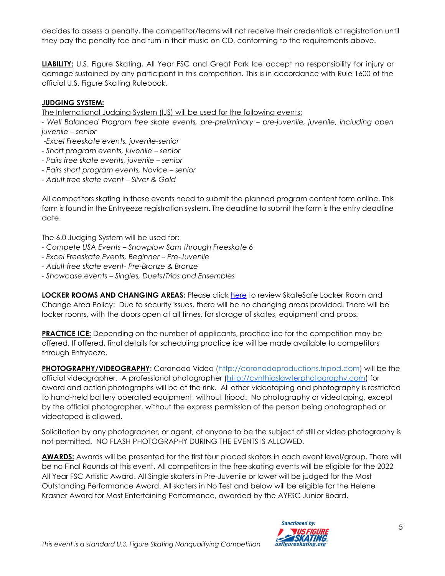decides to assess a penalty, the competitor/teams will not receive their credentials at registration until they pay the penalty fee and turn in their music on CD, conforming to the requirements above.

**LIABILITY:** U.S. Figure Skating, All Year FSC and Great Park Ice accept no responsibility for injury or damage sustained by any participant in this competition. This is in accordance with Rule 1600 of the official U.S. Figure Skating Rulebook.

## **JUDGING SYSTEM:**

The International Judging System (IJS) will be used for the following events:

*- Well Balanced Program free skate events, pre-preliminary – pre-juvenile, juvenile, including open juvenile – senior*

- *-Excel Freeskate events, juvenile-senior*
- *- Short program events, juvenile – senior*
- *- Pairs free skate events, juvenile – senior*
- *- Pairs short program events, Novice – senior*
- *- Adult free skate event – Silver & Gold*

All competitors skating in these events need to submit the planned program content form online. This form is found in the Entryeeze registration system. The deadline to submit the form is the entry deadline date.

The 6.0 Judging System will be used for:

- *- Compete USA Events – Snowplow Sam through Freeskate 6*
- *- Excel Freeskate Events, Beginner – Pre-Juvenile*
- *- Adult free skate event- Pre-Bronze & Bronze*
- *- Showcase events – Singles, Duets/Trios and Ensembles*

**LOCKER ROOMS AND CHANGING AREAS:** Please click [here](https://usfigureskating.org/sites/default/files/media-files/Basic%20locker%20room%20policy.pdf) to review SkateSafe Locker Room and Change Area Policy: Due to security issues, there will be no changing areas provided. There will be locker rooms, with the doors open at all times, for storage of skates, equipment and props.

**PRACTICE ICE:** Depending on the number of applicants, practice ice for the competition may be offered. If offered, final details for scheduling practice ice will be made available to competitors through Entryeeze.

**PHOTOGRAPHY/VIDEOGRAPHY**: Coronado Video [\(http://coronadoproductions.tripod.com\)](http://coronadoproductions.tripod.com/) will be the official videographer. A professional photographer [\(http://cynthiaslawterphotography.com\)](http://cynthiaslawterphotography.com/) for award and action photographs will be at the rink. All other videotaping and photography is restricted to hand-held battery operated equipment, without tripod. No photography or videotaping, except by the official photographer, without the express permission of the person being photographed or videotaped is allowed.

Solicitation by any photographer, or agent, of anyone to be the subject of still or video photography is not permitted. NO FLASH PHOTOGRAPHY DURING THE EVENTS IS ALLOWED.

**AWARDS:** Awards will be presented for the first four placed skaters in each event level/group. There will be no Final Rounds at this event. All competitors in the free skating events will be eligible for the 2022 All Year FSC Artistic Award. All Single skaters in Pre-Juvenile or lower will be judged for the Most Outstanding Performance Award. All skaters in No Test and below will be eligible for the Helene Krasner Award for Most Entertaining Performance, awarded by the AYFSC Junior Board.

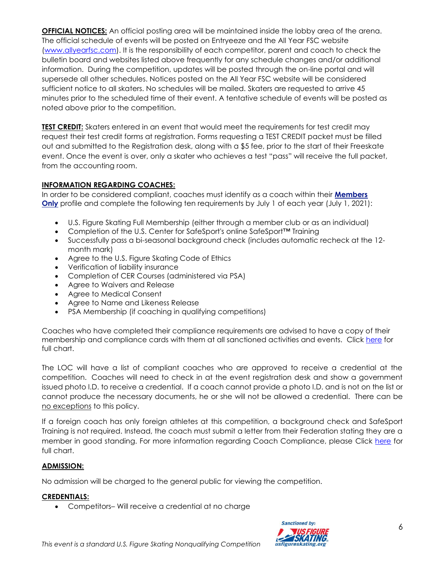**OFFICIAL NOTICES:** An official posting area will be maintained inside the lobby area of the arena. The official schedule of events will be posted on Entryeeze and the All Year FSC website [\(www.allyearfsc.com\)](http://www.allyearfsc.com/). It is the responsibility of each competitor, parent and coach to check the bulletin board and websites listed above frequently for any schedule changes and/or additional information. During the competition, updates will be posted through the on-line portal and will supersede all other schedules. Notices posted on the All Year FSC website will be considered sufficient notice to all skaters. No schedules will be mailed. Skaters are requested to arrive 45 minutes prior to the scheduled time of their event. A tentative schedule of events will be posted as noted above prior to the competition.

**TEST CREDIT:** Skaters entered in an event that would meet the requirements for test credit may request their test credit forms at registration. Forms requesting a TEST CREDIT packet must be filled out and submitted to the Registration desk, along with a \$5 fee, prior to the start of their Freeskate event. Once the event is over, only a skater who achieves a test "pass" will receive the full packet, from the accounting room.

#### **INFORMATION REGARDING COACHES:**

In order to be considered compliant, coaches must identify as a coach within their **[Members](https://www.usfsaonline.org/)  [Only](https://www.usfsaonline.org/)** profile and complete the following ten requirements by July 1 of each year (July 1, 2021):

- U.S. Figure Skating Full Membership (either through a member club or as an individual)
- Completion of the U.S. Center for SafeSport's online SafeSport™ Training
- Successfully pass a bi-seasonal background check (includes automatic recheck at the 12 month mark)
- Agree to the U.S. Figure Skating Code of Ethics
- Verification of liability insurance
- Completion of CER Courses (administered via PSA)
- Agree to Waivers and Release
- Agree to Medical Consent
- Agree to Name and Likeness Release
- PSA Membership (if coaching in qualifying competitions)

Coaches who have completed their compliance requirements are advised to have a copy of their membership and compliance cards with them at all sanctioned activities and events. Click [here](https://www.usfigureskating.org/sites/default/files/media-files/Coaches%20Requirements%20Chart.pdf) for full chart.

The LOC will have a list of compliant coaches who are approved to receive a credential at the competition. Coaches will need to check in at the event registration desk and show a government issued photo I.D. to receive a credential. If a coach cannot provide a photo I.D. and is not on the list or cannot produce the necessary documents, he or she will not be allowed a credential. There can be no exceptions to this policy.

If a foreign coach has only foreign athletes at this competition, a background check and SafeSport Training is not required. Instead, the coach must submit a letter from their Federation stating they are a member in good standing. For more information regarding Coach Compliance, please Click [here](https://www.usfigureskating.org/sites/default/files/media-files/Coaches%20Requirements%20Chart.pdf) for full chart.

#### **ADMISSION:**

No admission will be charged to the general public for viewing the competition.

#### **CREDENTIALS:**

• Competitors– Will receive a credential at no charge

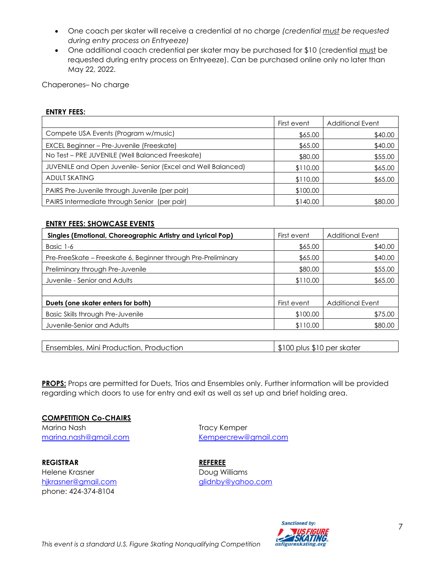- One coach per skater will receive a credential at no charge *(credential must be requested during entry process on Entryeeze)*
- One additional coach credential per skater may be purchased for \$10 (credential must be requested during entry process on Entryeeze). Can be purchased online only no later than May 22, 2022.

Chaperones– No charge

#### **ENTRY FEES:**

|                                                             | First event | <b>Additional Event</b> |
|-------------------------------------------------------------|-------------|-------------------------|
| Compete USA Events (Program w/music)                        | \$65.00     | \$40.00                 |
| EXCEL Beginner - Pre-Juvenile (Freeskate)                   | \$65.00     | \$40.00                 |
| No Test - PRE JUVENILE (Well Balanced Freeskate)            | \$80.00     | \$55.00                 |
| JUVENILE and Open Juvenile-Senior (Excel and Well Balanced) | \$110.00    | \$65.00                 |
| <b>ADULT SKATING</b>                                        | \$110.00    | \$65.00                 |
| PAIRS Pre-Juvenile through Juvenile (per pair)              | \$100.00    |                         |
| PAIRS Intermediate through Senior<br>(per pair)             | \$140.00    | \$80.00                 |

#### **ENTRY FEES: SHOWCASE EVENTS**

| Singles (Emotional, Choreographic Artistry and Lyrical Pop)   | First event | <b>Additional Event</b> |
|---------------------------------------------------------------|-------------|-------------------------|
| Basic 1-6                                                     | \$65.00     | \$40.00                 |
| Pre-FreeSkate – Freeskate 6, Beginner through Pre-Preliminary | \$65.00     | \$40.00                 |
| Preliminary through Pre-Juvenile                              | \$80.00     | \$55.00                 |
| Juvenile - Senior and Adults                                  | \$110.00    | \$65.00                 |
|                                                               |             |                         |
| Duets (one skater enters for both)                            | First event | <b>Additional Event</b> |
| <b>Basic Skills through Pre-Juvenile</b>                      | \$100.00    | \$75.00                 |
| Juvenile-Senior and Adults                                    | \$110.00    | \$80.00                 |

Ensembles, Mini Production, Production **\$100** plus \$10 per skater

**PROPS:** Props are permitted for Duets, Trios and Ensembles only. Further information will be provided regarding which doors to use for entry and exit as well as set up and brief holding area.

#### **COMPETITION Co-CHAIRS**

Marina Nash Tracy Kemper

**REGISTRAR REFEREE** Helene Krasner **Doug Williams** phone: 424-374-8104

[marina.nash@gmail.com](mailto:marina.nash@gmail.com) [Kempercrew@gmail.com](mailto:Kempercrew@gmail.com)

[hjkrasner@gmail.com](mailto:hjkrasner@gmail.com) and a state of the [glidnby@yahoo.com](mailto:glidnby@yahoo.com)



7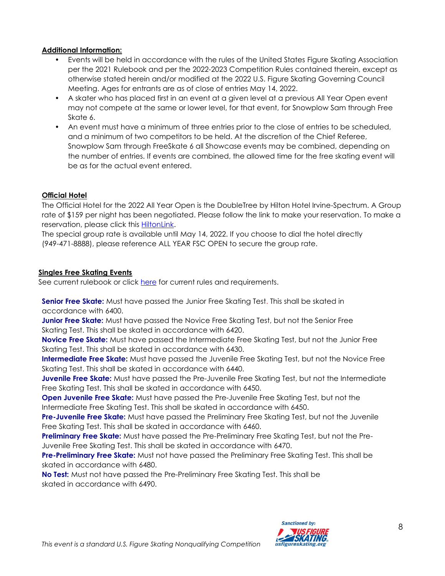### **Additional Information:**

- Events will be held in accordance with the rules of the United States Figure Skating Association per the 2021 Rulebook and per the 2022-2023 Competition Rules contained therein, except as otherwise stated herein and/or modified at the 2022 U.S. Figure Skating Governing Council Meeting. Ages for entrants are as of close of entries May 14, 2022.
- A skater who has placed first in an event at a given level at a previous All Year Open event may not compete at the same or lower level, for that event, for Snowplow Sam through Free Skate 6.
- An event must have a minimum of three entries prior to the close of entries to be scheduled, and a minimum of two competitors to be held. At the discretion of the Chief Referee, Snowplow Sam through FreeSkate 6 all Showcase events may be combined, depending on the number of entries. If events are combined, the allowed time for the free skating event will be as for the actual event entered.

# **Official Hotel**

The Official Hotel for the 2022 All Year Open is the DoubleTree by Hilton Hotel Irvine-Spectrum. A Group rate of \$159 per night has been negotiated. Please follow the link to make your reservation. To make a reservation, please click this [HiltonLink.](https://www.hilton.com/en/attend-my-event/onaisdt-jay-66ab32a5-a83a-48f3-994a-9abec57e92e1/)

The special group rate is available until May 14, 2022. If you choose to dial the hotel directly (949-471-8888), please reference ALL YEAR FSC OPEN to secure the group rate.

### **Singles Free Skating Events**

See current rulebook or click [here](https://www.usfigureskating.org/about/rules) for current rules and requirements.

**Senior Free Skate:** Must have passed the Junior Free Skating Test. This shall be skated in accordance with 6400.

**Junior Free Skate:** Must have passed the Novice Free Skating Test, but not the Senior Free Skating Test. This shall be skated in accordance with 6420.

**Novice Free Skate:** Must have passed the Intermediate Free Skating Test, but not the Junior Free Skating Test. This shall be skated in accordance with 6430.

**Intermediate Free Skate:** Must have passed the Juvenile Free Skating Test, but not the Novice Free Skating Test. This shall be skated in accordance with 6440.

**Juvenile Free Skate:** Must have passed the Pre-Juvenile Free Skating Test, but not the Intermediate Free Skating Test. This shall be skated in accordance with 6450.

**Open Juvenile Free Skate:** Must have passed the Pre-Juvenile Free Skating Test, but not the Intermediate Free Skating Test. This shall be skated in accordance with 6450.

**Pre-Juvenile Free Skate:** Must have passed the Preliminary Free Skating Test, but not the Juvenile Free Skating Test. This shall be skated in accordance with 6460.

**Preliminary Free Skate:** Must have passed the Pre-Preliminary Free Skating Test, but not the Pre-Juvenile Free Skating Test. This shall be skated in accordance with 6470.

**Pre-Preliminary Free Skate:** Must not have passed the Preliminary Free Skating Test. This shall be skated in accordance with 6480.

**No Test:** Must not have passed the Pre-Preliminary Free Skating Test. This shall be skated in accordance with 6490.

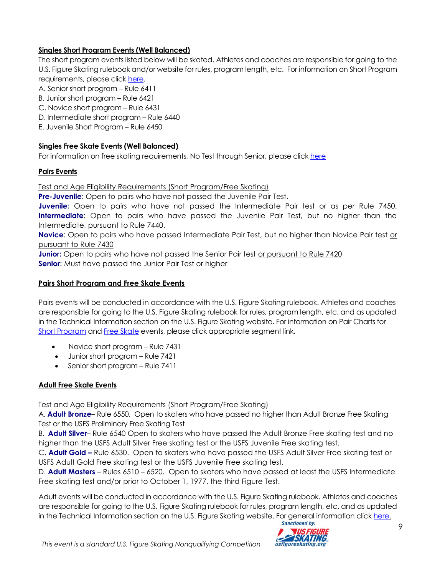# **Singles Short Program Events (Well Balanced)**

The short program events listed below will be skated. Athletes and coaches are responsible for going to the U.S. Figure Skating rulebook and/or website for rules, program length, etc. For information on Short Program requirements, please click [here.](https://www.usfigureskating.org/system/files/2022-23%20Singles%20SP%20Chart.pdf)

A. Senior short program – Rule 6411

- B. Junior short program Rule 6421
- C. Novice short program Rule 6431
- D. Intermediate short program Rule 6440
- E. Juvenile Short Program Rule 6450

# **Singles Free Skate Events (Well Balanced)**

For information on free skating requirements, No Test through Senior, please click [here](https://www.usfigureskating.org/system/files/2022-23%20Singles%20FS%20Chart.pdf)

# **Pairs Events**

# Test and Age Eligibility Requirements (Short Program/Free Skating)

**Pre-Juvenile:** Open to pairs who have not passed the Juvenile Pair Test.

**Juvenile:** Open to pairs who have not passed the Intermediate Pair test or as per Rule 7450. **Intermediate**: Open to pairs who have passed the Juvenile Pair Test, but no higher than the Intermediate, pursuant to Rule 7440.

**Novice**: Open to pairs who have passed Intermediate Pair Test, but no higher than Novice Pair test or pursuant to Rule 7430

**Junior:** Open to pairs who have not passed the Senior Pair test or pursuant to Rule 7420 **Senior:** Must have passed the Junior Pair Test or higher

### **Pairs Short Program and Free Skate Events**

Pairs events will be conducted in accordance with the U.S. Figure Skating rulebook. Athletes and coaches are responsible for going to the U.S. Figure Skating rulebook for rules, program length, etc. and as updated in the Technical Information section on the U.S. Figure Skating website. For information on Pair Charts for Short [Program](https://www.usfigureskating.org/system/files/2022-23%20Pairs%20SP%20Chart.pdf) and [Free Skate](https://www.usfigureskating.org/system/files/2022-23%20Pairs%20FS%20Chart.pdf) events, please click appropriate segment link.

- Novice short program Rule 7431
- Junior short program Rule 7421
- Senior short program Rule 7411

# **Adult Free Skate Events**

Test and Age Eligibility Requirements (Short Program/Free Skating)

A. **Adult Bronze**– Rule 6550. Open to skaters who have passed no higher than Adult Bronze Free Skating Test or the USFS Preliminary Free Skating Test

B. **Adult Silver**– Rule 6540 Open to skaters who have passed the Adult Bronze Free skating test and no higher than the USFS Adult Silver Free skating test or the USFS Juvenile Free skating test.

C. **Adult Gold –** Rule 6530. Open to skaters who have passed the USFS Adult Silver Free skating test or USFS Adult Gold Free skating test or the USFS Juvenile Free skating test.

D. **Adult Masters** – Rules 6510 – 6520. Open to skaters who have passed at least the USFS Intermediate Free skating test and/or prior to October 1, 1977, the third Figure Test.

Adult events will be conducted in accordance with the U.S. Figure Skating rulebook. Athletes and coaches are responsible for going to the U.S. Figure Skating rulebook for rules, program length, etc. and as updated in the Technical Information section on the U.S. Figure Skating website. For general information click [here.](https://www.usfigureskating.org/members-only/officials/skating-rules-and-resources/adults?mocrToken=bsOfDnPyEepJGehQd7yiykFMBlUE--gjTv1DWBgR5jsmBkI8viozQpDPuYe1RnGqVNL2i8mzSNs6gqs4iZKEw_G6g4hQogbcHqrefNLb4JJRIOFn1Z5hjr8Tyi5jgTUmWnEe1mOcGshiec_KPPUcQBNrqtEqYHpLIKmY0fuDqhB5julBNFKIUeBPi-KqXik3INhvysTwbW66IzRHn1_lbXk4CsAO_MwGfA6_LqE6sZQ=) **Sanctioned by:** 

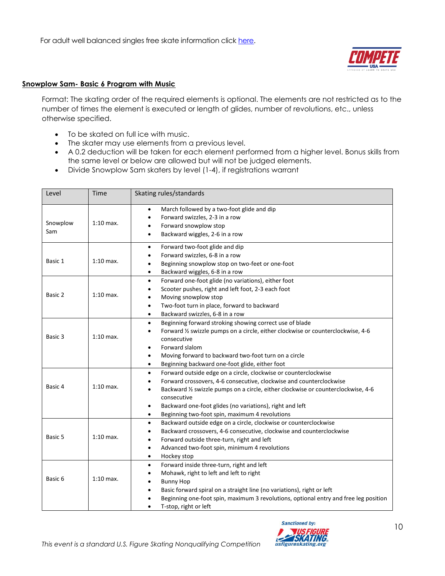

#### **Snowplow Sam- Basic 6 Program with Music**

Format: The skating order of the required elements is optional. The elements are not restricted as to the number of times the element is executed or length of glides, number of revolutions, etc., unless otherwise specified.

- To be skated on full ice with music.
- The skater may use elements from a previous level.
- A 0.2 deduction will be taken for each element performed from a higher level. Bonus skills from the same level or below are allowed but will not be judged elements.
- Divide Snowplow Sam skaters by level (1-4), if registrations warrant

| Level           | Time        | Skating rules/standards                                                                                                                                                                                                                                                                                                                                                                                   |
|-----------------|-------------|-----------------------------------------------------------------------------------------------------------------------------------------------------------------------------------------------------------------------------------------------------------------------------------------------------------------------------------------------------------------------------------------------------------|
| Snowplow<br>Sam | $1:10$ max. | March followed by a two-foot glide and dip<br>$\bullet$<br>Forward swizzles, 2-3 in a row<br>$\bullet$<br>Forward snowplow stop<br>Backward wiggles, 2-6 in a row<br>$\bullet$                                                                                                                                                                                                                            |
| Basic 1         | $1:10$ max. | Forward two-foot glide and dip<br>$\bullet$<br>Forward swizzles, 6-8 in a row<br>$\bullet$<br>Beginning snowplow stop on two-feet or one-foot<br>$\bullet$<br>Backward wiggles, 6-8 in a row<br>$\bullet$                                                                                                                                                                                                 |
| Basic 2         | $1:10$ max. | Forward one-foot glide (no variations), either foot<br>$\bullet$<br>Scooter pushes, right and left foot, 2-3 each foot<br>$\bullet$<br>Moving snowplow stop<br>$\bullet$<br>Two-foot turn in place, forward to backward<br>$\bullet$<br>Backward swizzles, 6-8 in a row<br>$\bullet$                                                                                                                      |
| Basic 3         | $1:10$ max. | Beginning forward stroking showing correct use of blade<br>$\bullet$<br>Forward 1/2 swizzle pumps on a circle, either clockwise or counterclockwise, 4-6<br>٠<br>consecutive<br>Forward slalom<br>٠<br>Moving forward to backward two-foot turn on a circle<br>$\bullet$<br>Beginning backward one-foot glide, either foot<br>$\bullet$                                                                   |
| Basic 4         | $1:10$ max. | Forward outside edge on a circle, clockwise or counterclockwise<br>$\bullet$<br>Forward crossovers, 4-6 consecutive, clockwise and counterclockwise<br>٠<br>Backward 1/2 swizzle pumps on a circle, either clockwise or counterclockwise, 4-6<br>٠<br>consecutive<br>Backward one-foot glides (no variations), right and left<br>$\bullet$<br>Beginning two-foot spin, maximum 4 revolutions<br>$\bullet$ |
| Basic 5         | $1:10$ max. | Backward outside edge on a circle, clockwise or counterclockwise<br>$\bullet$<br>Backward crossovers, 4-6 consecutive, clockwise and counterclockwise<br>$\bullet$<br>Forward outside three-turn, right and left<br>$\bullet$<br>Advanced two-foot spin, minimum 4 revolutions<br>$\bullet$<br>Hockey stop<br>$\bullet$                                                                                   |
| Basic 6         | $1:10$ max. | Forward inside three-turn, right and left<br>$\bullet$<br>Mohawk, right to left and left to right<br>٠<br><b>Bunny Hop</b><br>$\bullet$<br>Basic forward spiral on a straight line (no variations), right or left<br>$\bullet$<br>Beginning one-foot spin, maximum 3 revolutions, optional entry and free leg position<br>T-stop, right or left<br>٠                                                      |

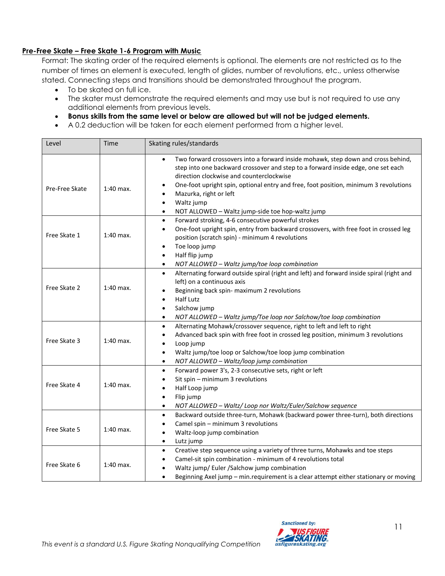#### **Pre-Free Skate – Free Skate 1-6 Program with Music**

Format: The skating order of the required elements is optional. The elements are not restricted as to the number of times an element is executed, length of glides, number of revolutions, etc., unless otherwise stated. Connecting steps and transitions should be demonstrated throughout the program.

- To be skated on full ice.
- The skater must demonstrate the required elements and may use but is not required to use any additional elements from previous levels.
- **Bonus skills from the same level or below are allowed but will not be judged elements.**
- A 0.2 deduction will be taken for each element performed from a higher level.

| Level          | Time        | Skating rules/standards                                                                               |
|----------------|-------------|-------------------------------------------------------------------------------------------------------|
|                |             | Two forward crossovers into a forward inside mohawk, step down and cross behind,<br>$\bullet$         |
|                |             | step into one backward crossover and step to a forward inside edge, one set each                      |
|                | $1:40$ max. | direction clockwise and counterclockwise                                                              |
| Pre-Free Skate |             | One-foot upright spin, optional entry and free, foot position, minimum 3 revolutions<br>٠             |
|                |             | Mazurka, right or left<br>$\bullet$                                                                   |
|                |             | Waltz jump<br>$\bullet$                                                                               |
|                |             | NOT ALLOWED - Waltz jump-side toe hop-waltz jump<br>$\bullet$                                         |
|                | 1:40 max.   | Forward stroking, 4-6 consecutive powerful strokes<br>$\bullet$                                       |
|                |             | One-foot upright spin, entry from backward crossovers, with free foot in crossed leg<br>$\bullet$     |
| Free Skate 1   |             | position (scratch spin) - minimum 4 revolutions                                                       |
|                |             | Toe loop jump<br>$\bullet$                                                                            |
|                |             | Half flip jump<br>$\bullet$                                                                           |
|                |             | NOT ALLOWED - Waltz jump/toe loop combination<br>$\bullet$                                            |
|                |             | Alternating forward outside spiral (right and left) and forward inside spiral (right and<br>$\bullet$ |
|                |             | left) on a continuous axis                                                                            |
| Free Skate 2   | $1:40$ max. | Beginning back spin- maximum 2 revolutions                                                            |
|                |             | <b>Half Lutz</b><br>$\bullet$                                                                         |
|                |             | Salchow jump<br>$\bullet$                                                                             |
|                |             | NOT ALLOWED - Waltz jump/Toe loop nor Salchow/toe loop combination<br>$\bullet$                       |
|                | $1:40$ max. | Alternating Mohawk/crossover sequence, right to left and left to right<br>$\bullet$                   |
|                |             | Advanced back spin with free foot in crossed leg position, minimum 3 revolutions<br>$\bullet$         |
| Free Skate 3   |             | Loop jump<br>$\bullet$                                                                                |
|                |             | Waltz jump/toe loop or Salchow/toe loop jump combination<br>$\bullet$                                 |
|                |             | NOT ALLOWED - Waltz/loop jump combination<br>$\bullet$                                                |
|                | $1:40$ max. | Forward power 3's, 2-3 consecutive sets, right or left<br>$\bullet$                                   |
|                |             | Sit spin - minimum 3 revolutions<br>$\bullet$                                                         |
| Free Skate 4   |             | Half Loop jump<br>$\bullet$                                                                           |
|                |             | Flip jump<br>$\bullet$                                                                                |
|                |             | NOT ALLOWED - Waltz/ Loop nor Waltz/Euler/Salchow sequence<br>$\bullet$                               |
|                |             | Backward outside three-turn, Mohawk (backward power three-turn), both directions<br>$\bullet$         |
|                |             | Camel spin - minimum 3 revolutions<br>$\bullet$                                                       |
| Free Skate 5   | $1:40$ max. | Waltz-loop jump combination<br>$\bullet$                                                              |
|                |             | Lutz jump<br>$\bullet$                                                                                |
| Free Skate 6   | $1:40$ max. | Creative step sequence using a variety of three turns, Mohawks and toe steps<br>$\bullet$             |
|                |             | Camel-sit spin combination - minimum of 4 revolutions total<br>$\bullet$                              |
|                |             | Waltz jump/ Euler /Salchow jump combination                                                           |
|                |             | Beginning Axel jump - min.requirement is a clear attempt either stationary or moving<br>$\bullet$     |